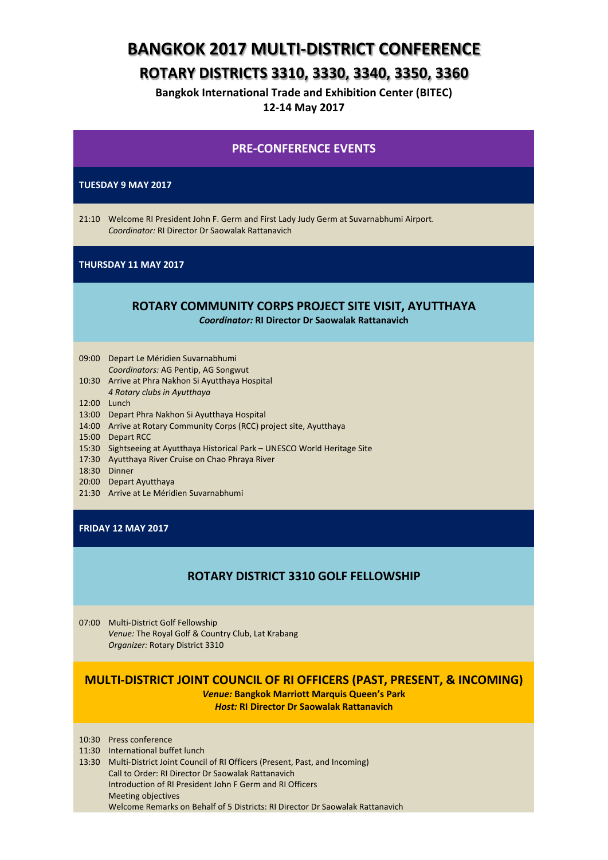# **BANGKOK 2017 MULTI-DISTRICT CONFERENCE**

# **ROTARY DISTRICTS 3310, 3330, 3340, 3350, 3360**

**Bangkok International Trade and Exhibition Center (BITEC) 12-14 May 2017**

### **PRE-CONFERENCE EVENTS**

#### **TUESDAY 9 MAY 2017**

21:10 Welcome RI President John F. Germ and First Lady Judy Germ at Suvarnabhumi Airport. *Coordinator:* RI Director Dr Saowalak Rattanavich

#### **THURSDAY 11 MAY 2017**

## **ROTARY COMMUNITY CORPS PROJECT SITE VISIT, AYUTTHAYA**

*Coordinator:* **RI Director Dr Saowalak Rattanavich**

## 09:00 Depart Le Méridien Suvarnabhumi

- *Coordinators:* AG Pentip, AG Songwut
- 10:30 Arrive at Phra Nakhon Si Ayutthaya Hospital *4 Rotary clubs in Ayutthaya*
- 
- 12:00 Lunch 13:00 Depart Phra Nakhon Si Ayutthaya Hospital
- 14:00 Arrive at Rotary Community Corps (RCC) project site, Ayutthaya
- 15:00 Depart RCC
- 15:30 Sightseeing at Ayutthaya Historical Park UNESCO World Heritage Site
- 17:30 Ayutthaya River Cruise on Chao Phraya River
- 18:30 Dinner
- 20:00 Depart Ayutthaya
- 21:30 Arrive at Le Méridien Suvarnabhumi

#### **FRIDAY 12 MAY 2017**

## **ROTARY DISTRICT 3310 GOLF FELLOWSHIP**

07:00 Multi-District Golf Fellowship *Venue:* The Royal Golf & Country Club, Lat Krabang *Organizer:* Rotary District 3310

## **MULTI-DISTRICT JOINT COUNCIL OF RI OFFICERS (PAST, PRESENT, & INCOMING)**

*Venue:* **Bangkok Marriott Marquis Queen's Park** *Host:* **RI Director Dr Saowalak Rattanavich**

10:30 Press conference

- 11:30 International buffet lunch
- 13:30 Multi-District Joint Council of RI Officers (Present, Past, and Incoming) Call to Order: RI Director Dr Saowalak Rattanavich Introduction of RI President John F Germ and RI Officers Meeting objectives Welcome Remarks on Behalf of 5 Districts: RI Director Dr Saowalak Rattanavich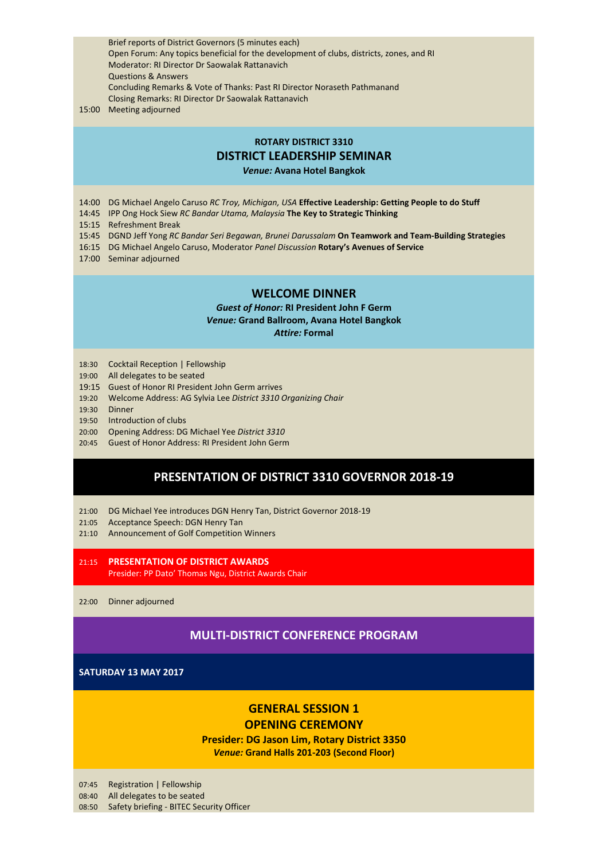Brief reports of District Governors (5 minutes each) Open Forum: Any topics beneficial for the development of clubs, districts, zones, and RI Moderator: RI Director Dr Saowalak Rattanavich Questions & Answers Concluding Remarks & Vote of Thanks: Past RI Director Noraseth Pathmanand Closing Remarks: RI Director Dr Saowalak Rattanavich

### 15:00 Meeting adjourned

#### **ROTARY DISTRICT 3310**

### **DISTRICT LEADERSHIP SEMINAR**

*Venue:* **Avana Hotel Bangkok**

- 14:00 DG Michael Angelo Caruso *RC Troy, Michigan, USA* **Effective Leadership: Getting People to do Stuff**
- 14:45 IPP Ong Hock Siew *RC Bandar Utama, Malaysia* **The Key to Strategic Thinking**
- 15:15 Refreshment Break
- 15:45 DGND Jeff Yong *RC Bandar Seri Begawan, Brunei Darussalam* **On Teamwork and Team-Building Strategies**
- 16:15 DG Michael Angelo Caruso, Moderator *Panel Discussion* **Rotary's Avenues of Service**
- 17:00 Seminar adjourned

#### **WELCOME DINNER**

*Guest of Honor:* **RI President John F Germ** *Venue:* **Grand Ballroom, Avana Hotel Bangkok** *Attire:* **Formal**

- 18:30 Cocktail Reception | Fellowship
- 19:00 All delegates to be seated
- 19:15 Guest of Honor RI President John Germ arrives
- 19:20 Welcome Address: AG Sylvia Lee *District 3310 Organizing Chair*
- 19:30 Dinner
- 19:50 Introduction of clubs
- 20:00 Opening Address: DG Michael Yee *District 3310*
- 20:45 Guest of Honor Address: RI President John Germ

### **PRESENTATION OF DISTRICT 3310 GOVERNOR 2018-19**

- 21:00 DG Michael Yee introduces DGN Henry Tan, District Governor 2018-19
- 21:05 Acceptance Speech: DGN Henry Tan
- 21:10 Announcement of Golf Competition Winners
- 21:15 **PRESENTATION OF DISTRICT AWARDS** Presider: PP Dato' Thomas Ngu, District Awards Chair

22:00 Dinner adjourned

### **MULTI-DISTRICT CONFERENCE PROGRAM**

#### **SATURDAY 13 MAY 2017**

## **GENERAL SESSION 1 OPENING CEREMONY**

**Presider: DG Jason Lim, Rotary District 3350** *Venue:* **Grand Halls 201-203 (Second Floor)**

07:45 Registration | Fellowship

08:40 All delegates to be seated

08:50 Safety briefing - BITEC Security Officer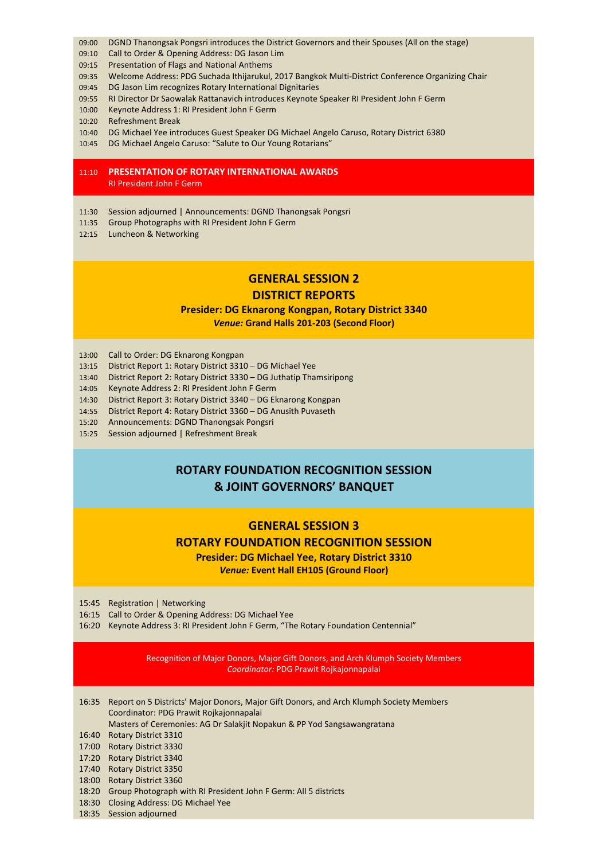- 09:00 DGND Thanongsak Pongsri introduces the District Governors and their Spouses (All on the stage)
- 09:10 Call to Order & Opening Address: DG Jason Lim
- 09:15 Presentation of Flags and National Anthems
- 09:35 Welcome Address: PDG Suchada Ithijarukul, 2017 Bangkok Multi-District Conference Organizing Chair
- 09:45 DG Jason Lim recognizes Rotary International Dignitaries
- 09:55 RI Director Dr Saowalak Rattanavich introduces Keynote Speaker RI President John F Germ
- 10:00 Keynote Address 1: RI President John F Germ
- 10:20 Refreshment Break
- 10:40 DG Michael Yee introduces Guest Speaker DG Michael Angelo Caruso, Rotary District 6380
- 10:45 DG Michael Angelo Caruso: "Salute to Our Young Rotarians"

#### 11:10 **PRESENTATION OF ROTARY INTERNATIONAL AWARDS** RI President John F Germ

- 11:30 Session adjourned | Announcements: DGND Thanongsak Pongsri
- 11:35 Group Photographs with RI President John F Germ
- 12:15 Luncheon & Networking

### **GENERAL SESSION 2**

#### **DISTRICT REPORTS**

### **Presider: DG Eknarong Kongpan, Rotary District 3340** *Venue:* **Grand Halls 201-203 (Second Floor)**

- 13:00 Call to Order: DG Eknarong Kongpan
- 13:15 District Report 1: Rotary District 3310 DG Michael Yee
- 13:40 District Report 2: Rotary District 3330 DG Juthatip Thamsiripong
- 14:05 Keynote Address 2: RI President John F Germ
- 14:30 District Report 3: Rotary District 3340 DG Eknarong Kongpan
- 14:55 District Report 4: Rotary District 3360 DG Anusith Puvaseth
- 15:20 Announcements: DGND Thanongsak Pongsri
- 15:25 Session adjourned | Refreshment Break

## **ROTARY FOUNDATION RECOGNITION SESSION & JOINT GOVERNORS' BANQUET**

## **GENERAL SESSION 3**

#### **ROTARY FOUNDATION RECOGNITION SESSION**

**Presider: DG Michael Yee, Rotary District 3310** *Venue:* **Event Hall EH105 (Ground Floor)**

15:45 Registration | Networking

- 16:15 Call to Order & Opening Address: DG Michael Yee
- 16:20 Keynote Address 3: RI President John F Germ, "The Rotary Foundation Centennial"

Recognition of Major Donors, Major Gift Donors, and Arch Klumph Society Members *Coordinator:* PDG Prawit Rojkajonnapalai

| 16:35 Report on 5 Districts' Major Donors, Major Gift Donors, and Arch Klumph Society Members |
|-----------------------------------------------------------------------------------------------|
| Coordinator: PDG Prawit Rojkajonnapalai                                                       |
| Mesters of Caramonica: AC Dr Calabijt Nanakun 9 DD Vad Cangsougnaratona                       |

#### Masters of Ceremonies: AG Dr Salakjit Nopakun & PP Yod Sangsawangratana

- 16:40 Rotary District 3310
- 17:00 Rotary District 3330
- 17:20 Rotary District 3340
- 17:40 Rotary District 3350
- 18:00 Rotary District 3360
- 18:20 Group Photograph with RI President John F Germ: All 5 districts
- 18:30 Closing Address: DG Michael Yee
- 18:35 Session adjourned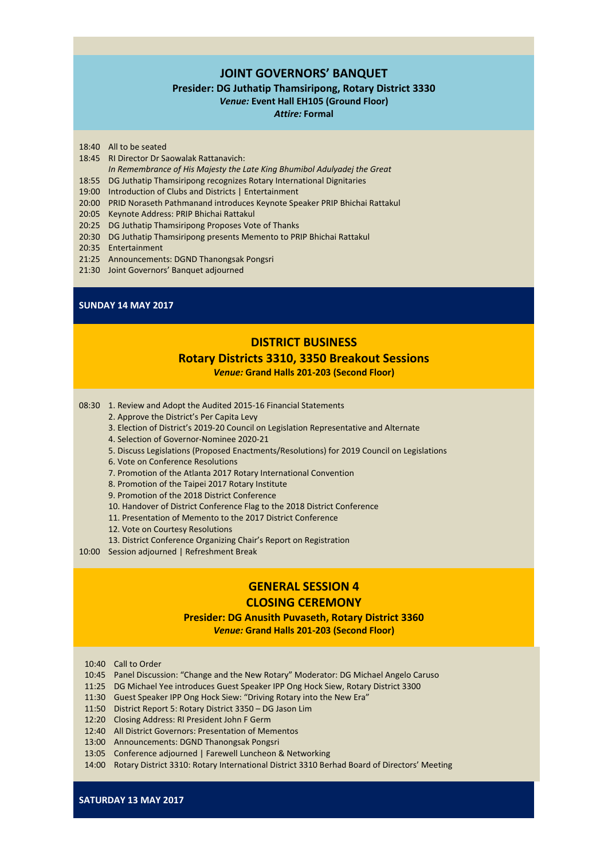### **JOINT GOVERNORS' BANQUET**

#### **Presider: DG Juthatip Thamsiripong, Rotary District 3330**

*Venue:* **Event Hall EH105 (Ground Floor)**

*Attire:* **Formal**

- 18:40 All to be seated
- 18:45 RI Director Dr Saowalak Rattanavich:
	- *In Remembrance of His Majesty the Late King Bhumibol Adulyadej the Great*
- 18:55 DG Juthatip Thamsiripong recognizes Rotary International Dignitaries
- 19:00 Introduction of Clubs and Districts | Entertainment
- 20:00 PRID Noraseth Pathmanand introduces Keynote Speaker PRIP Bhichai Rattakul
- 20:05 Keynote Address: PRIP Bhichai Rattakul
- 20:25 DG Juthatip Thamsiripong Proposes Vote of Thanks
- 20:30 DG Juthatip Thamsiripong presents Memento to PRIP Bhichai Rattakul
- 20:35 Entertainment
- 21:25 Announcements: DGND Thanongsak Pongsri
- 21:30 Joint Governors' Banquet adjourned

#### **SUNDAY 14 MAY 2017**

### **DISTRICT BUSINESS**

# **Rotary Districts 3310, 3350 Breakout Sessions**

*Venue:* **Grand Halls 201-203 (Second Floor)**

08:30 1. Review and Adopt the Audited 2015-16 Financial Statements

- 2. Approve the District's Per Capita Levy
- 3. Election of District's 2019-20 Council on Legislation Representative and Alternate
- 4. Selection of Governor-Nominee 2020-21
- 5. Discuss Legislations (Proposed Enactments/Resolutions) for 2019 Council on Legislations
- 6. Vote on Conference Resolutions
- 7. Promotion of the Atlanta 2017 Rotary International Convention
- 8. Promotion of the Taipei 2017 Rotary Institute
- 9. Promotion of the 2018 District Conference
- 10. Handover of District Conference Flag to the 2018 District Conference
- 11. Presentation of Memento to the 2017 District Conference
- 12. Vote on Courtesy Resolutions
- 13. District Conference Organizing Chair's Report on Registration

10:00 Session adjourned | Refreshment Break

## **GENERAL SESSION 4**

### **CLOSING CEREMONY**

#### **Presider: DG Anusith Puvaseth, Rotary District 3360**

*Venue:* **Grand Halls 201-203 (Second Floor)**

- 10:40 Call to Order
- 10:45 Panel Discussion: "Change and the New Rotary" Moderator: DG Michael Angelo Caruso
- 11:25 DG Michael Yee introduces Guest Speaker IPP Ong Hock Siew, Rotary District 3300
- 11:30 Guest Speaker IPP Ong Hock Siew: "Driving Rotary into the New Era"
- 11:50 District Report 5: Rotary District 3350 DG Jason Lim
- 12:20 Closing Address: RI President John F Germ
- 12:40 All District Governors: Presentation of Mementos
- 13:00 Announcements: DGND Thanongsak Pongsri
- 13:05 Conference adjourned | Farewell Luncheon & Networking
- 14:00 Rotary District 3310: Rotary International District 3310 Berhad Board of Directors' Meeting

**SATURDAY 13 MAY 2017**